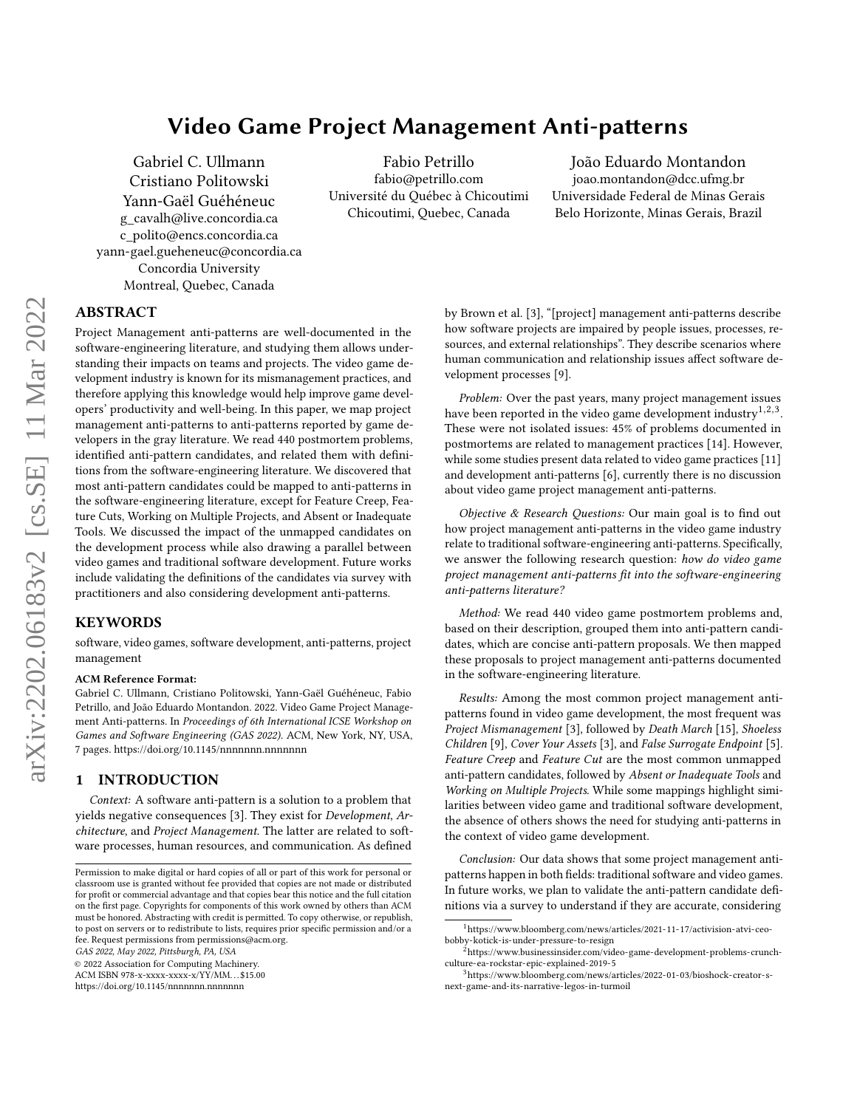# Video Game Project Management Anti-patterns

[Gabriel C. Ullmann](https://orcid.org/0000-0002-3274-0789) [Cristiano Politowski](https://orcid.org/0000-0002-0206-1056) [Yann-Gaël Guéhéneuc](https://orcid.org/0000-0002-4361-2563) g\_cavalh@live.concordia.ca c\_polito@encs.concordia.ca yann-gael.gueheneuc@concordia.ca Concordia University Montreal, Quebec, Canada

[Fabio Petrillo](https://orcid.org/0000-0002-8355-1494) fabio@petrillo.com Université du Québec à Chicoutimi Chicoutimi, Quebec, Canada

[João Eduardo Montandon](https://orcid.org/?) joao.montandon@dcc.ufmg.br Universidade Federal de Minas Gerais Belo Horizonte, Minas Gerais, Brazil

# ABSTRACT

Project Management anti-patterns are well-documented in the software-engineering literature, and studying them allows understanding their impacts on teams and projects. The video game development industry is known for its mismanagement practices, and therefore applying this knowledge would help improve game developers' productivity and well-being. In this paper, we map project management anti-patterns to anti-patterns reported by game developers in the gray literature. We read 440 postmortem problems, identified anti-pattern candidates, and related them with definitions from the software-engineering literature. We discovered that most anti-pattern candidates could be mapped to anti-patterns in the software-engineering literature, except for Feature Creep, Feature Cuts, Working on Multiple Projects, and Absent or Inadequate Tools. We discussed the impact of the unmapped candidates on the development process while also drawing a parallel between video games and traditional software development. Future works include validating the definitions of the candidates via survey with practitioners and also considering development anti-patterns.

# KEYWORDS

software, video games, software development, anti-patterns, project management

### ACM Reference Format:

Gabriel C. Ullmann, Cristiano Politowski, Yann-Gaël Guéhéneuc, Fabio Petrillo, and João Eduardo Montandon. 2022. Video Game Project Management Anti-patterns. In Proceedings of 6th International ICSE Workshop on Games and Software Engineering (GAS 2022). ACM, New York, NY, USA, [7](#page-6-0) pages.<https://doi.org/10.1145/nnnnnnn.nnnnnnn>

# 1 INTRODUCTION

Context: A software anti-pattern is a solution to a problem that yields negative consequences [\[3\]](#page-5-0). They exist for Development, Architecture, and Project Management. The latter are related to software processes, human resources, and communication. As defined

GAS 2022, May 2022, Pittsburgh, PA, USA

© 2022 Association for Computing Machinery.

ACM ISBN 978-x-xxxx-xxxx-x/YY/MM. . . \$15.00

<https://doi.org/10.1145/nnnnnnn.nnnnnnn>

by Brown et al. [\[3\]](#page-5-0), "[project] management anti-patterns describe how software projects are impaired by people issues, processes, resources, and external relationships". They describe scenarios where human communication and relationship issues affect software development processes [\[9\]](#page-5-1).

Problem: Over the past years, many project management issues have been reported in the video game development industry<sup>1,2,3</sup>. These were not isolated issues: 45% of problems documented in postmortems are related to management practices [\[14\]](#page-6-1). However, while some studies present data related to video game practices [\[11\]](#page-5-2) and development anti-patterns [\[6\]](#page-5-3), currently there is no discussion about video game project management anti-patterns.

Objective & Research Questions: Our main goal is to find out how project management anti-patterns in the video game industry relate to traditional software-engineering anti-patterns. Specifically, we answer the following research question: how do video game project management anti-patterns fit into the software-engineering anti-patterns literature?

Method: We read 440 video game postmortem problems and, based on their description, grouped them into anti-pattern candidates, which are concise anti-pattern proposals. We then mapped these proposals to project management anti-patterns documented in the software-engineering literature.

Results: Among the most common project management antipatterns found in video game development, the most frequent was Project Mismanagement [\[3\]](#page-5-0), followed by Death March [\[15\]](#page-6-2), Shoeless Children [\[9\]](#page-5-1), Cover Your Assets [\[3\]](#page-5-0), and False Surrogate Endpoint [\[5\]](#page-5-4). Feature Creep and Feature Cut are the most common unmapped anti-pattern candidates, followed by Absent or Inadequate Tools and Working on Multiple Projects. While some mappings highlight similarities between video game and traditional software development, the absence of others shows the need for studying anti-patterns in the context of video game development.

Conclusion: Our data shows that some project management antipatterns happen in both fields: traditional software and video games. In future works, we plan to validate the anti-pattern candidate definitions via a survey to understand if they are accurate, considering

Permission to make digital or hard copies of all or part of this work for personal or classroom use is granted without fee provided that copies are not made or distributed for profit or commercial advantage and that copies bear this notice and the full citation on the first page. Copyrights for components of this work owned by others than ACM must be honored. Abstracting with credit is permitted. To copy otherwise, or republish, to post on servers or to redistribute to lists, requires prior specific permission and/or a fee. Request permissions from permissions@acm.org.

<sup>1</sup>[https://www.bloomberg.com/news/articles/2021-11-17/activision-atvi-ceo](https://www.bloomberg.com/news/articles/2021-11-17/activision-atvi-ceo-bobby-kotick-is-under-pressure-to-resign)[bobby-kotick-is-under-pressure-to-resign](https://www.bloomberg.com/news/articles/2021-11-17/activision-atvi-ceo-bobby-kotick-is-under-pressure-to-resign)

<sup>2</sup>[https://www.businessinsider.com/video-game-development-problems-crunch](https://www.businessinsider.com/video-game-development-problems-crunch-culture-ea-rockstar-epic-explained-2019-5)[culture-ea-rockstar-epic-explained-2019-5](https://www.businessinsider.com/video-game-development-problems-crunch-culture-ea-rockstar-epic-explained-2019-5)

<sup>3</sup>[https://www.bloomberg.com/news/articles/2022-01-03/bioshock-creator-s](https://www.bloomberg.com/news/articles/2022-01-03/bioshock-creator-s-next-game-and-its-narrative-legos-in-turmoil)[next-game-and-its-narrative-legos-in-turmoil](https://www.bloomberg.com/news/articles/2022-01-03/bioshock-creator-s-next-game-and-its-narrative-legos-in-turmoil)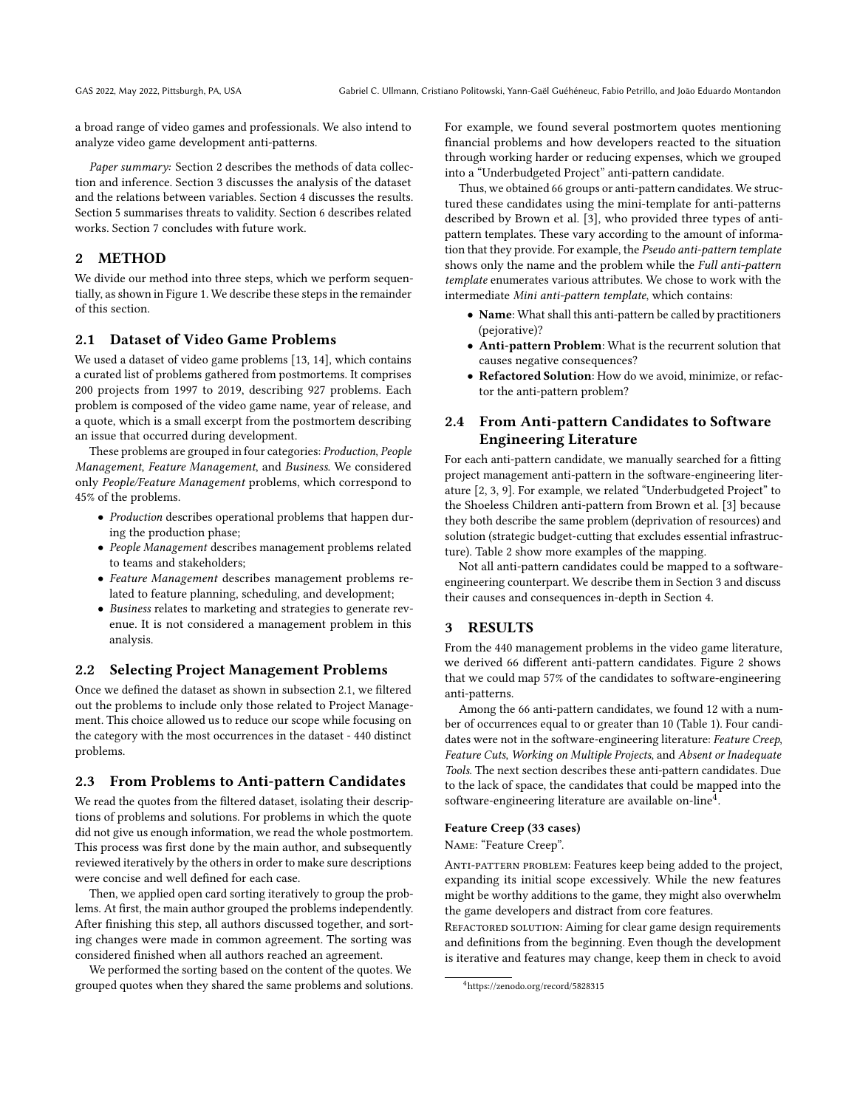a broad range of video games and professionals. We also intend to analyze video game development anti-patterns.

Paper summary: Section [2](#page-1-0) describes the methods of data collection and inference. Section [3](#page-1-1) discusses the analysis of the dataset and the relations between variables. Section [4](#page-4-0) discusses the results. Section [5](#page-5-5) summarises threats to validity. Section [6](#page-5-6) describes related works. Section [7](#page-5-7) concludes with future work.

# <span id="page-1-0"></span>2 METHOD

We divide our method into three steps, which we perform sequentially, as shown in [Figure 1.](#page-2-0) We describe these steps in the remainder of this section.

# <span id="page-1-2"></span>2.1 Dataset of Video Game Problems

We used a dataset of video game problems [\[13,](#page-5-8) [14\]](#page-6-1), which contains a curated list of problems gathered from postmortems. It comprises 200 projects from 1997 to 2019, describing 927 problems. Each problem is composed of the video game name, year of release, and a quote, which is a small excerpt from the postmortem describing an issue that occurred during development.

These problems are grouped in four categories: Production, People Management, Feature Management, and Business. We considered only People/Feature Management problems, which correspond to 45% of the problems.

- Production describes operational problems that happen during the production phase;
- People Management describes management problems related to teams and stakeholders;
- Feature Management describes management problems related to feature planning, scheduling, and development;
- Business relates to marketing and strategies to generate revenue. It is not considered a management problem in this analysis.

## 2.2 Selecting Project Management Problems

Once we defined the dataset as shown in [subsection 2.1,](#page-1-2) we filtered out the problems to include only those related to Project Management. This choice allowed us to reduce our scope while focusing on the category with the most occurrences in the dataset - 440 distinct problems.

### 2.3 From Problems to Anti-pattern Candidates

We read the quotes from the filtered dataset, isolating their descriptions of problems and solutions. For problems in which the quote did not give us enough information, we read the whole postmortem. This process was first done by the main author, and subsequently reviewed iteratively by the others in order to make sure descriptions were concise and well defined for each case.

Then, we applied open card sorting iteratively to group the problems. At first, the main author grouped the problems independently. After finishing this step, all authors discussed together, and sorting changes were made in common agreement. The sorting was considered finished when all authors reached an agreement.

We performed the sorting based on the content of the quotes. We grouped quotes when they shared the same problems and solutions. For example, we found several postmortem quotes mentioning financial problems and how developers reacted to the situation through working harder or reducing expenses, which we grouped into a "Underbudgeted Project" anti-pattern candidate.

Thus, we obtained 66 groups or anti-pattern candidates. We structured these candidates using the mini-template for anti-patterns described by Brown et al. [\[3\]](#page-5-0), who provided three types of antipattern templates. These vary according to the amount of information that they provide. For example, the Pseudo anti-pattern template shows only the name and the problem while the Full anti-pattern template enumerates various attributes. We chose to work with the intermediate Mini anti-pattern template, which contains:

- Name: What shall this anti-pattern be called by practitioners (pejorative)?
- Anti-pattern Problem: What is the recurrent solution that causes negative consequences?
- Refactored Solution: How do we avoid, minimize, or refactor the anti-pattern problem?

# 2.4 From Anti-pattern Candidates to Software Engineering Literature

For each anti-pattern candidate, we manually searched for a fitting project management anti-pattern in the software-engineering literature [\[2,](#page-5-9) [3,](#page-5-0) [9\]](#page-5-1). For example, we related "Underbudgeted Project" to the Shoeless Children anti-pattern from Brown et al. [\[3\]](#page-5-0) because they both describe the same problem (deprivation of resources) and solution (strategic budget-cutting that excludes essential infrastructure). Table [2](#page-3-0) show more examples of the mapping.

Not all anti-pattern candidates could be mapped to a softwareengineering counterpart. We describe them in Section [3](#page-1-1) and discuss their causes and consequences in-depth in Section [4.](#page-4-0)

### <span id="page-1-1"></span>3 RESULTS

From the 440 management problems in the video game literature, we derived 66 different anti-pattern candidates. [Figure 2](#page-2-1) shows that we could map 57% of the candidates to software-engineering anti-patterns.

Among the 66 anti-pattern candidates, we found 12 with a number of occurrences equal to or greater than 10 [\(Table 1\)](#page-2-2). Four candidates were not in the software-engineering literature: Feature Creep, Feature Cuts, Working on Multiple Projects, and Absent or Inadequate Tools. The next section describes these anti-pattern candidates. Due to the lack of space, the candidates that could be mapped into the software-engineering literature are available on-line<sup>4</sup>.

#### Feature Creep (33 cases)

Name: "Feature Creep".

ANTI-PATTERN PROBLEM: Features keep being added to the project, expanding its initial scope excessively. While the new features might be worthy additions to the game, they might also overwhelm the game developers and distract from core features.

REFACTORED SOLUTION: Aiming for clear game design requirements and definitions from the beginning. Even though the development is iterative and features may change, keep them in check to avoid

<sup>4</sup><https://zenodo.org/record/5828315>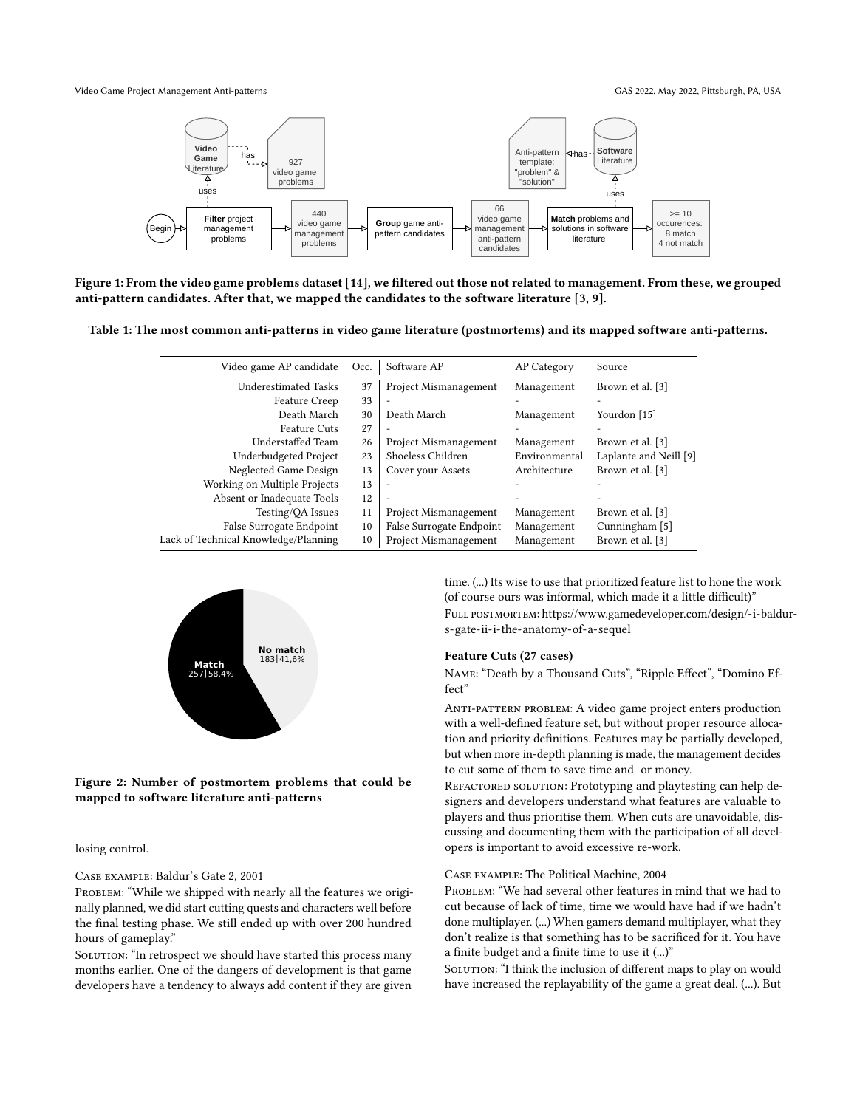<span id="page-2-0"></span>Video Game Project Management Anti-patterns GAS 2022, May 2022, Pittsburgh, PA, USA



Figure 1: From the video game problems dataset [\[14\]](#page-6-1), we filtered out those not related to management. From these, we grouped anti-pattern candidates. After that, we mapped the candidates to the software literature [\[3,](#page-5-0) [9\]](#page-5-1).

<span id="page-2-2"></span>Table 1: The most common anti-patterns in video game literature (postmortems) and its mapped software anti-patterns.

| Video game AP candidate              | Occ. | Software AP              | AP Category   | Source                 |
|--------------------------------------|------|--------------------------|---------------|------------------------|
| <b>Underestimated Tasks</b>          | 37   | Project Mismanagement    | Management    | Brown et al. [3]       |
| Feature Creep                        | 33   | ٠                        |               |                        |
| Death March                          | 30   | Death March              | Management    | Yourdon [15]           |
| <b>Feature Cuts</b>                  | 27   |                          |               |                        |
| Understaffed Team                    | 26   | Project Mismanagement    | Management    | Brown et al. [3]       |
| Underbudgeted Project                | 23   | Shoeless Children        | Environmental | Laplante and Neill [9] |
| Neglected Game Design                | 13   | Cover your Assets        | Architecture  | Brown et al. [3]       |
| Working on Multiple Projects         | 13   |                          |               |                        |
| Absent or Inadequate Tools           | 12   | $\overline{\phantom{a}}$ |               |                        |
| Testing/QA Issues                    | 11   | Project Mismanagement    | Management    | Brown et al. [3]       |
| False Surrogate Endpoint             | 10   | False Surrogate Endpoint | Management    | Cunningham [5]         |
| Lack of Technical Knowledge/Planning | 10   | Project Mismanagement    | Management    | Brown et al. [3]       |

<span id="page-2-1"></span>

Figure 2: Number of postmortem problems that could be mapped to software literature anti-patterns

losing control.

Case example: Baldur's Gate 2, 2001

PROBLEM: "While we shipped with nearly all the features we originally planned, we did start cutting quests and characters well before the final testing phase. We still ended up with over 200 hundred hours of gameplay."

SOLUTION: "In retrospect we should have started this process many months earlier. One of the dangers of development is that game developers have a tendency to always add content if they are given

time. (...) Its wise to use that prioritized feature list to hone the work (of course ours was informal, which made it a little difficult)" Full postmortem: [https://www.gamedeveloper.com/design/-i-baldu](https://www.gamedeveloper.com/design/-i-baldur-s-gate-ii-i-the-anatomy-of-a-sequel)r[s-gate-ii-i-the-anatomy-of-a-sequel](https://www.gamedeveloper.com/design/-i-baldur-s-gate-ii-i-the-anatomy-of-a-sequel)

#### Feature Cuts (27 cases)

Name: "Death by a Thousand Cuts", "Ripple Effect", "Domino Effect"

ANTI-PATTERN PROBLEM: A video game project enters production with a well-defined feature set, but without proper resource allocation and priority definitions. Features may be partially developed, but when more in-depth planning is made, the management decides to cut some of them to save time and–or money.

REFACTORED SOLUTION: Prototyping and playtesting can help designers and developers understand what features are valuable to players and thus prioritise them. When cuts are unavoidable, discussing and documenting them with the participation of all developers is important to avoid excessive re-work.

#### Case example: The Political Machine, 2004

PROBLEM: "We had several other features in mind that we had to cut because of lack of time, time we would have had if we hadn't done multiplayer. (...) When gamers demand multiplayer, what they don't realize is that something has to be sacrificed for it. You have a finite budget and a finite time to use it (...)"

SOLUTION: "I think the inclusion of different maps to play on would have increased the replayability of the game a great deal. (...). But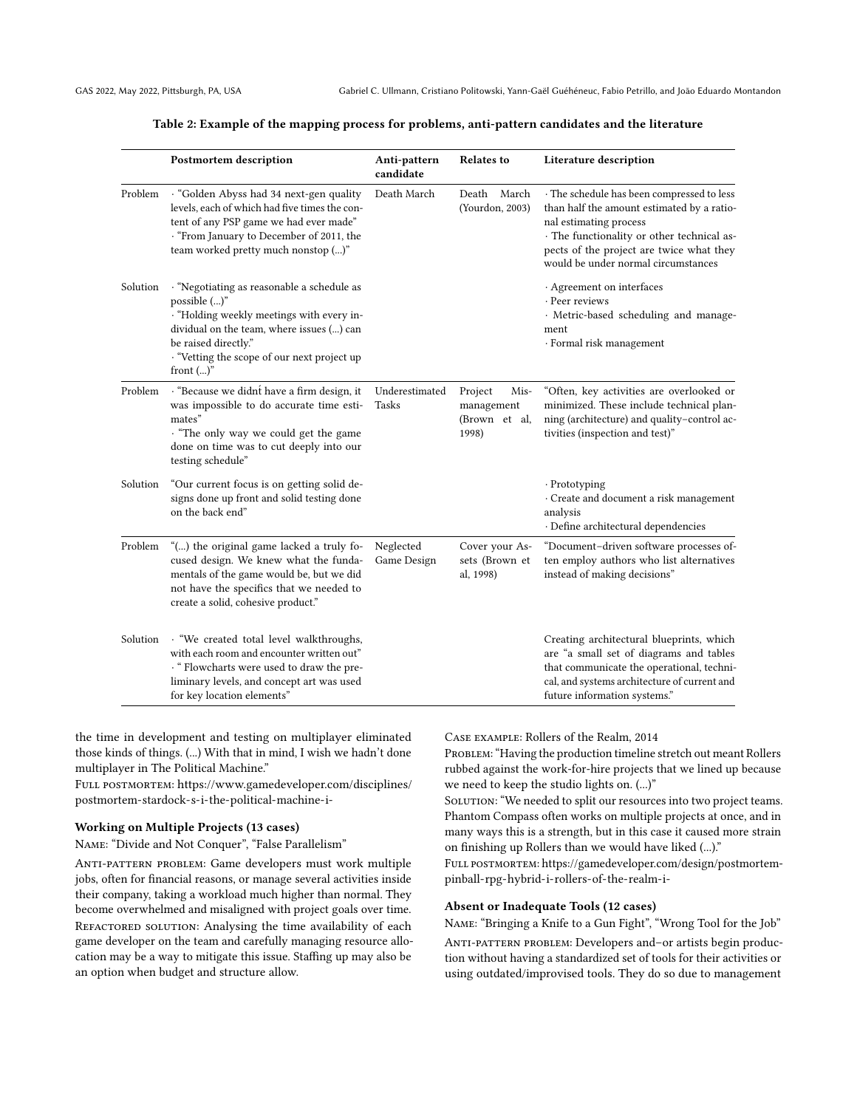|  |  |  | Table 2: Example of the mapping process for problems, anti-pattern candidates and the literature |
|--|--|--|--------------------------------------------------------------------------------------------------|
|  |  |  |                                                                                                  |

<span id="page-3-0"></span>

|          | <b>Postmortem description</b>                                                                                                                                                                                                               | Anti-pattern<br>candidate | <b>Relates to</b>                                       | Literature description                                                                                                                                                                                                                              |
|----------|---------------------------------------------------------------------------------------------------------------------------------------------------------------------------------------------------------------------------------------------|---------------------------|---------------------------------------------------------|-----------------------------------------------------------------------------------------------------------------------------------------------------------------------------------------------------------------------------------------------------|
| Problem  | · "Golden Abyss had 34 next-gen quality<br>levels, each of which had five times the con-<br>tent of any PSP game we had ever made"<br>· "From January to December of 2011, the<br>team worked pretty much nonstop ()"                       | Death March               | Death March<br>(Yourdon, 2003)                          | · The schedule has been compressed to less<br>than half the amount estimated by a ratio-<br>nal estimating process<br>· The functionality or other technical as-<br>pects of the project are twice what they<br>would be under normal circumstances |
| Solution | · "Negotiating as reasonable a schedule as<br>possible ()"<br>· "Holding weekly meetings with every in-<br>dividual on the team, where issues () can<br>be raised directly."<br>· "Vetting the scope of our next project up<br>front $()$ " |                           |                                                         | · Agreement on interfaces<br>· Peer reviews<br>· Metric-based scheduling and manage-<br>ment<br>· Formal risk management                                                                                                                            |
| Problem  | · "Because we didnt have a firm design, it<br>was impossible to do accurate time esti-<br>mates"<br>. "The only way we could get the game<br>done on time was to cut deeply into our<br>testing schedule"                                   | Underestimated<br>Tasks   | Project<br>Mis-<br>management<br>(Brown et al,<br>1998) | "Often, key activities are overlooked or<br>minimized. These include technical plan-<br>ning (architecture) and quality-control ac-<br>tivities (inspection and test)"                                                                              |
| Solution | "Our current focus is on getting solid de-<br>signs done up front and solid testing done<br>on the back end"                                                                                                                                |                           |                                                         | $\cdot$ Prototyping<br>· Create and document a risk management<br>analysis<br>· Define architectural dependencies                                                                                                                                   |
| Problem  | "() the original game lacked a truly fo-<br>cused design. We knew what the funda-<br>mentals of the game would be, but we did<br>not have the specifics that we needed to<br>create a solid, cohesive product."                             | Neglected<br>Game Design  | Cover your As-<br>sets (Brown et<br>al, 1998)           | "Document-driven software processes of-<br>ten employ authors who list alternatives<br>instead of making decisions"                                                                                                                                 |
| Solution | · "We created total level walkthroughs,<br>with each room and encounter written out"<br>· " Flowcharts were used to draw the pre-<br>liminary levels, and concept art was used<br>for key location elements"                                |                           |                                                         | Creating architectural blueprints, which<br>are "a small set of diagrams and tables<br>that communicate the operational, techni-<br>cal, and systems architecture of current and<br>future information systems."                                    |

the time in development and testing on multiplayer eliminated those kinds of things. (...) With that in mind, I wish we hadn't done multiplayer in The Political Machine."

Full postmortem: [https://www.gamedeveloper.com/disciplines/](https://www.gamedeveloper.com/disciplines/postmortem-stardock-s-i-the-political-machine-i-) [postmortem-stardock-s-i-the-political-machine-i-](https://www.gamedeveloper.com/disciplines/postmortem-stardock-s-i-the-political-machine-i-)

#### Working on Multiple Projects (13 cases)

Name: "Divide and Not Conquer", "False Parallelism"

Anti-pattern problem: Game developers must work multiple jobs, often for financial reasons, or manage several activities inside their company, taking a workload much higher than normal. They become overwhelmed and misaligned with project goals over time. REFACTORED SOLUTION: Analysing the time availability of each game developer on the team and carefully managing resource allocation may be a way to mitigate this issue. Staffing up may also be an option when budget and structure allow.

Case example: Rollers of the Realm, 2014

PROBLEM: "Having the production timeline stretch out meant Rollers rubbed against the work-for-hire projects that we lined up because we need to keep the studio lights on. (...)"

SOLUTION: "We needed to split our resources into two project teams. Phantom Compass often works on multiple projects at once, and in many ways this is a strength, but in this case it caused more strain on finishing up Rollers than we would have liked (...)."

Full postmortem: [https://gamedeveloper.com/design/postmortem](https://gamedeveloper.com/design/postmortem-pinball-rpg-hybrid-i-rollers-of-the-realm-i-)[pinball-rpg-hybrid-i-rollers-of-the-realm-i-](https://gamedeveloper.com/design/postmortem-pinball-rpg-hybrid-i-rollers-of-the-realm-i-)

#### Absent or Inadequate Tools (12 cases)

Name: "Bringing a Knife to a Gun Fight", "Wrong Tool for the Job"

ANTI-PATTERN PROBLEM: Developers and-or artists begin production without having a standardized set of tools for their activities or using outdated/improvised tools. They do so due to management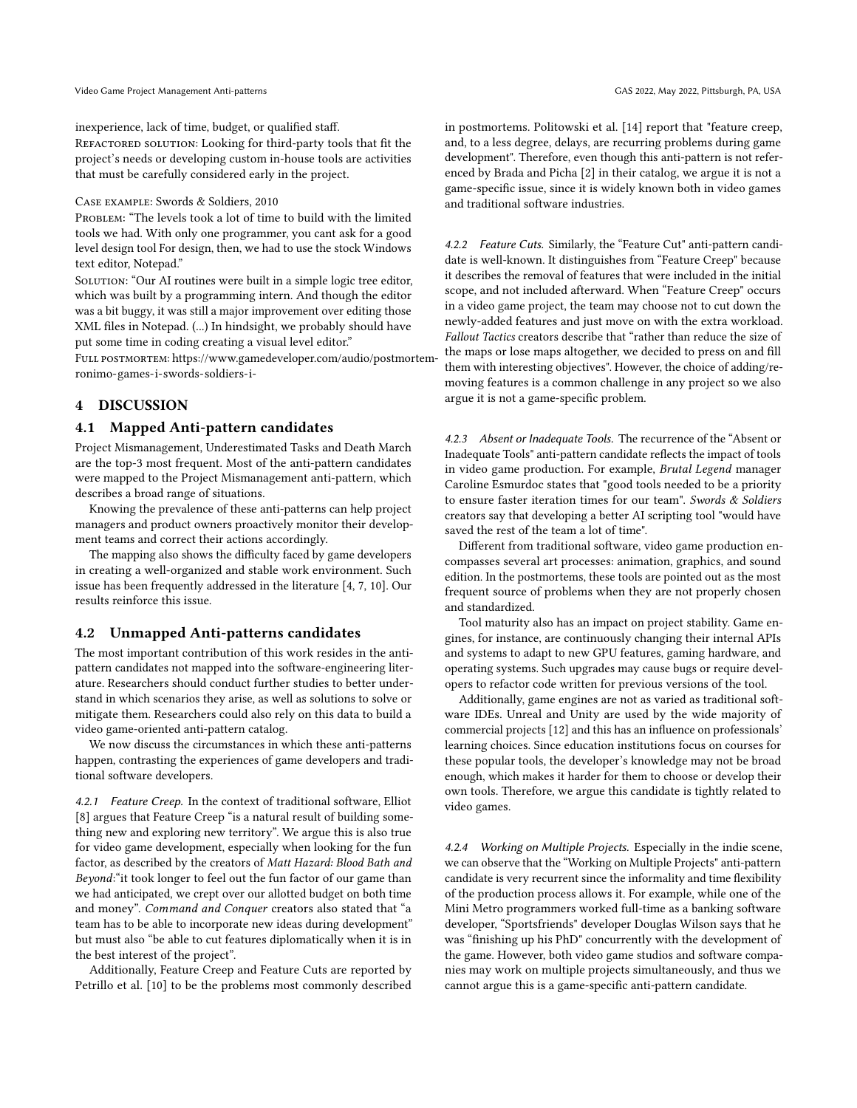inexperience, lack of time, budget, or qualified staff.

REFACTORED SOLUTION: Looking for third-party tools that fit the project's needs or developing custom in-house tools are activities that must be carefully considered early in the project.

#### Case example: Swords & Soldiers, 2010

PROBLEM: "The levels took a lot of time to build with the limited tools we had. With only one programmer, you cant ask for a good level design tool For design, then, we had to use the stock Windows text editor, Notepad."

SOLUTION: "Our AI routines were built in a simple logic tree editor, which was built by a programming intern. And though the editor was a bit buggy, it was still a major improvement over editing those XML files in Notepad. (...) In hindsight, we probably should have put some time in coding creating a visual level editor."

Full postmortem: [https://www.gamedeveloper.com/audio/postmor](https://www.gamedeveloper.com/audio/postmortem-ronimo-games-i-swords-soldiers-i-)tem[ronimo-games-i-swords-soldiers-i-](https://www.gamedeveloper.com/audio/postmortem-ronimo-games-i-swords-soldiers-i-)

# <span id="page-4-0"></span>4 DISCUSSION

#### 4.1 Mapped Anti-pattern candidates

Project Mismanagement, Underestimated Tasks and Death March are the top-3 most frequent. Most of the anti-pattern candidates were mapped to the Project Mismanagement anti-pattern, which describes a broad range of situations.

Knowing the prevalence of these anti-patterns can help project managers and product owners proactively monitor their development teams and correct their actions accordingly.

The mapping also shows the difficulty faced by game developers in creating a well-organized and stable work environment. Such issue has been frequently addressed in the literature [\[4,](#page-5-10) [7,](#page-5-11) [10\]](#page-5-12). Our results reinforce this issue.

#### 4.2 Unmapped Anti-patterns candidates

The most important contribution of this work resides in the antipattern candidates not mapped into the software-engineering literature. Researchers should conduct further studies to better understand in which scenarios they arise, as well as solutions to solve or mitigate them. Researchers could also rely on this data to build a video game-oriented anti-pattern catalog.

We now discuss the circumstances in which these anti-patterns happen, contrasting the experiences of game developers and traditional software developers.

4.2.1 Feature Creep. In the context of traditional software, Elliot [\[8\]](#page-5-13) argues that Feature Creep "is a natural result of building something new and exploring new territory". We argue this is also true for video game development, especially when looking for the fun factor, as described by the creators of Matt Hazard: Blood Bath and Beyond:"it took longer to feel out the fun factor of our game than we had anticipated, we crept over our allotted budget on both time and money". Command and Conquer creators also stated that "a team has to be able to incorporate new ideas during development" but must also "be able to cut features diplomatically when it is in the best interest of the project".

Additionally, Feature Creep and Feature Cuts are reported by Petrillo et al. [\[10\]](#page-5-12) to be the problems most commonly described in postmortems. Politowski et al. [\[14\]](#page-6-1) report that "feature creep, and, to a less degree, delays, are recurring problems during game development". Therefore, even though this anti-pattern is not referenced by Brada and Picha [\[2\]](#page-5-9) in their catalog, we argue it is not a game-specific issue, since it is widely known both in video games and traditional software industries.

4.2.2 Feature Cuts. Similarly, the "Feature Cut" anti-pattern candidate is well-known. It distinguishes from "Feature Creep" because it describes the removal of features that were included in the initial scope, and not included afterward. When "Feature Creep" occurs in a video game project, the team may choose not to cut down the newly-added features and just move on with the extra workload. Fallout Tactics creators describe that "rather than reduce the size of the maps or lose maps altogether, we decided to press on and fill them with interesting objectives". However, the choice of adding/removing features is a common challenge in any project so we also argue it is not a game-specific problem.

4.2.3 Absent or Inadequate Tools. The recurrence of the "Absent or Inadequate Tools" anti-pattern candidate reflects the impact of tools in video game production. For example, Brutal Legend manager Caroline Esmurdoc states that "good tools needed to be a priority to ensure faster iteration times for our team". Swords & Soldiers creators say that developing a better AI scripting tool "would have saved the rest of the team a lot of time".

Different from traditional software, video game production encompasses several art processes: animation, graphics, and sound edition. In the postmortems, these tools are pointed out as the most frequent source of problems when they are not properly chosen and standardized.

Tool maturity also has an impact on project stability. Game engines, for instance, are continuously changing their internal APIs and systems to adapt to new GPU features, gaming hardware, and operating systems. Such upgrades may cause bugs or require developers to refactor code written for previous versions of the tool.

Additionally, game engines are not as varied as traditional software IDEs. Unreal and Unity are used by the wide majority of commercial projects [\[12\]](#page-5-14) and this has an influence on professionals' learning choices. Since education institutions focus on courses for these popular tools, the developer's knowledge may not be broad enough, which makes it harder for them to choose or develop their own tools. Therefore, we argue this candidate is tightly related to video games.

4.2.4 Working on Multiple Projects. Especially in the indie scene, we can observe that the "Working on Multiple Projects" anti-pattern candidate is very recurrent since the informality and time flexibility of the production process allows it. For example, while one of the Mini Metro programmers worked full-time as a banking software developer, "Sportsfriends" developer Douglas Wilson says that he was "finishing up his PhD" concurrently with the development of the game. However, both video game studios and software companies may work on multiple projects simultaneously, and thus we cannot argue this is a game-specific anti-pattern candidate.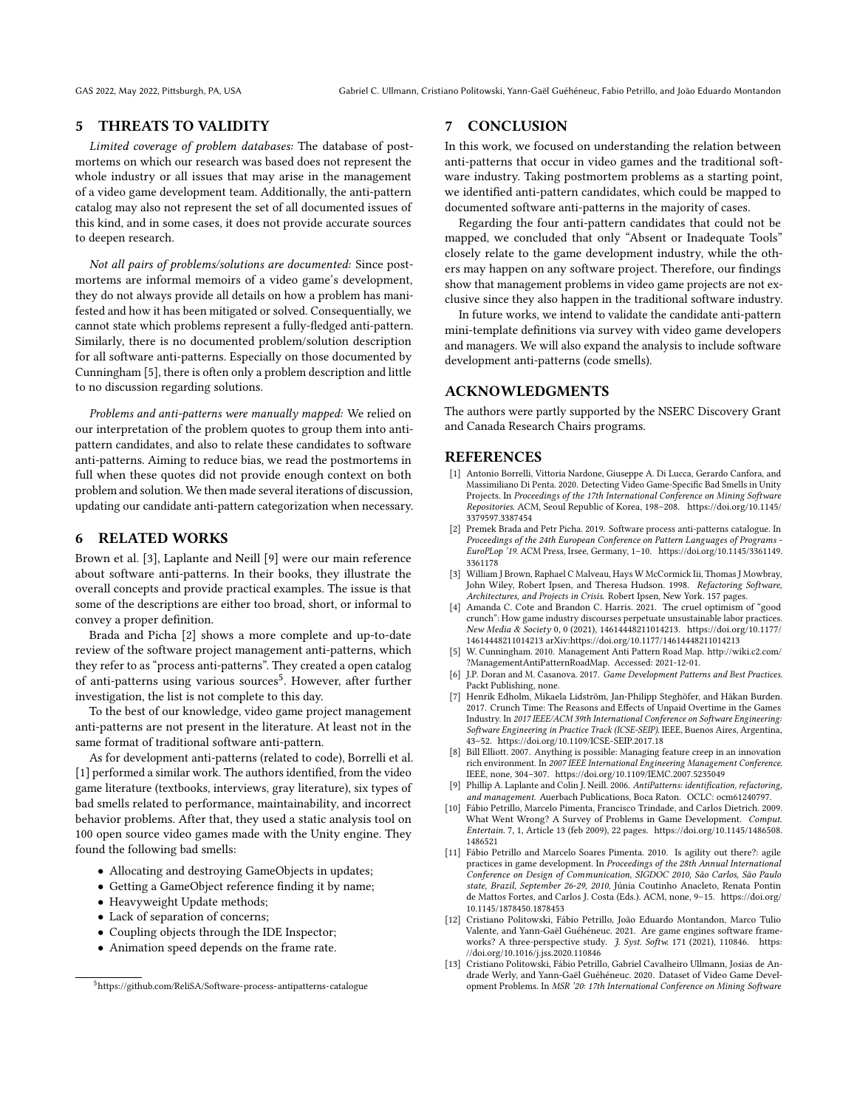# <span id="page-5-5"></span>5 THREATS TO VALIDITY

Limited coverage of problem databases: The database of postmortems on which our research was based does not represent the whole industry or all issues that may arise in the management of a video game development team. Additionally, the anti-pattern catalog may also not represent the set of all documented issues of this kind, and in some cases, it does not provide accurate sources to deepen research.

Not all pairs of problems/solutions are documented: Since postmortems are informal memoirs of a video game's development, they do not always provide all details on how a problem has manifested and how it has been mitigated or solved. Consequentially, we cannot state which problems represent a fully-fledged anti-pattern. Similarly, there is no documented problem/solution description for all software anti-patterns. Especially on those documented by Cunningham [\[5\]](#page-5-4), there is often only a problem description and little to no discussion regarding solutions.

Problems and anti-patterns were manually mapped: We relied on our interpretation of the problem quotes to group them into antipattern candidates, and also to relate these candidates to software anti-patterns. Aiming to reduce bias, we read the postmortems in full when these quotes did not provide enough context on both problem and solution. We then made several iterations of discussion, updating our candidate anti-pattern categorization when necessary.

# <span id="page-5-6"></span>6 RELATED WORKS

Brown et al. [\[3\]](#page-5-0), Laplante and Neill [\[9\]](#page-5-1) were our main reference about software anti-patterns. In their books, they illustrate the overall concepts and provide practical examples. The issue is that some of the descriptions are either too broad, short, or informal to convey a proper definition.

Brada and Picha [\[2\]](#page-5-9) shows a more complete and up-to-date review of the software project management anti-patterns, which they refer to as "process anti-patterns". They created a open catalog of anti-patterns using various sources<sup>5</sup>. However, after further investigation, the list is not complete to this day.

To the best of our knowledge, video game project management anti-patterns are not present in the literature. At least not in the same format of traditional software anti-pattern.

As for development anti-patterns (related to code), Borrelli et al. [\[1\]](#page-5-15) performed a similar work. The authors identified, from the video game literature (textbooks, interviews, gray literature), six types of bad smells related to performance, maintainability, and incorrect behavior problems. After that, they used a static analysis tool on 100 open source video games made with the Unity engine. They found the following bad smells:

- Allocating and destroying GameObjects in updates;
- Getting a GameObject reference finding it by name;
- Heavyweight Update methods;
- Lack of separation of concerns;
- Coupling objects through the IDE Inspector;
- Animation speed depends on the frame rate.

# <span id="page-5-7"></span>7 CONCLUSION

In this work, we focused on understanding the relation between anti-patterns that occur in video games and the traditional software industry. Taking postmortem problems as a starting point, we identified anti-pattern candidates, which could be mapped to documented software anti-patterns in the majority of cases.

Regarding the four anti-pattern candidates that could not be mapped, we concluded that only "Absent or Inadequate Tools" closely relate to the game development industry, while the others may happen on any software project. Therefore, our findings show that management problems in video game projects are not exclusive since they also happen in the traditional software industry.

In future works, we intend to validate the candidate anti-pattern mini-template definitions via survey with video game developers and managers. We will also expand the analysis to include software development anti-patterns (code smells).

# ACKNOWLEDGMENTS

The authors were partly supported by the NSERC Discovery Grant and Canada Research Chairs programs.

# **REFERENCES**

- <span id="page-5-15"></span>[1] Antonio Borrelli, Vittoria Nardone, Giuseppe A. Di Lucca, Gerardo Canfora, and Massimiliano Di Penta. 2020. Detecting Video Game-Specific Bad Smells in Unity Projects. In Proceedings of the 17th International Conference on Mining Software Repositories. ACM, Seoul Republic of Korea, 198–208. [https://doi.org/10.1145/](https://doi.org/10.1145/3379597.3387454) [3379597.3387454](https://doi.org/10.1145/3379597.3387454)
- <span id="page-5-9"></span>[2] Premek Brada and Petr Picha. 2019. Software process anti-patterns catalogue. In Proceedings of the 24th European Conference on Pattern Languages of Programs - EuroPLop '19. ACM Press, Irsee, Germany, 1–10. [https://doi.org/10.1145/3361149.](https://doi.org/10.1145/3361149.3361178) [3361178](https://doi.org/10.1145/3361149.3361178)
- <span id="page-5-0"></span>[3] William J Brown, Raphael C Malveau, Hays W McCormick Iii, Thomas J Mowbray, John Wiley, Robert Ipsen, and Theresa Hudson. 1998. Refactoring Software, Architectures, and Projects in Crisis. Robert Ipsen, New York. 157 pages.
- <span id="page-5-10"></span>[4] Amanda C. Cote and Brandon C. Harris. 2021. The cruel optimism of "good crunch": How game industry discourses perpetuate unsustainable labor practices. New Media & Society 0, 0 (2021), 14614448211014213. [https://doi.org/10.1177/](https://doi.org/10.1177/14614448211014213) [14614448211014213](https://doi.org/10.1177/14614448211014213) arXiv[:https://doi.org/10.1177/14614448211014213](https://arxiv.org/abs/https://doi.org/10.1177/14614448211014213)
- <span id="page-5-4"></span>[5] W. Cunningham. 2010. Management Anti Pattern Road Map. [http://wiki.c2.com/](http://wiki.c2.com/?ManagementAntiPatternRoadMap) [?ManagementAntiPatternRoadMap.](http://wiki.c2.com/?ManagementAntiPatternRoadMap) Accessed: 2021-12-01.
- <span id="page-5-3"></span>J.P. Doran and M. Casanova. 2017. Game Development Patterns and Best Practices. Packt Publishing, none.
- <span id="page-5-11"></span>[7] Henrik Edholm, Mikaela Lidström, Jan-Philipp Steghöfer, and Håkan Burden. 2017. Crunch Time: The Reasons and Effects of Unpaid Overtime in the Games Industry. In 2017 IEEE/ACM 39th International Conference on Software Engineering: Software Engineering in Practice Track (ICSE-SEIP). IEEE, Buenos Aires, Argentina, 43–52.<https://doi.org/10.1109/ICSE-SEIP.2017.18>
- <span id="page-5-13"></span>[8] Bill Elliott. 2007. Anything is possible: Managing feature creep in an innovation rich environment. In 2007 IEEE International Engineering Management Conference. IEEE, none, 304–307.<https://doi.org/10.1109/IEMC.2007.5235049>
- <span id="page-5-1"></span>[9] Phillip A. Laplante and Colin J. Neill. 2006. AntiPatterns: identification, refactoring, and management. Auerbach Publications, Boca Raton. OCLC: ocm61240797.
- <span id="page-5-12"></span>[10] Fábio Petrillo, Marcelo Pimenta, Francisco Trindade, and Carlos Dietrich. 2009. What Went Wrong? A Survey of Problems in Game Development. Comput. Entertain. 7, 1, Article 13 (feb 2009), 22 pages. [https://doi.org/10.1145/1486508.](https://doi.org/10.1145/1486508.1486521) [1486521](https://doi.org/10.1145/1486508.1486521)
- <span id="page-5-2"></span>[11] Fábio Petrillo and Marcelo Soares Pimenta. 2010. Is agility out there?: agile practices in game development. In Proceedings of the 28th Annual International Conference on Design of Communication, SIGDOC 2010, São Carlos, São Paulo state, Brazil, September 26-29, 2010, Júnia Coutinho Anacleto, Renata Pontin de Mattos Fortes, and Carlos J. Costa (Eds.). ACM, none, 9–15. [https://doi.org/](https://doi.org/10.1145/1878450.1878453) [10.1145/1878450.1878453](https://doi.org/10.1145/1878450.1878453)
- <span id="page-5-14"></span>[12] Cristiano Politowski, Fábio Petrillo, João Eduardo Montandon, Marco Tulio Valente, and Yann-Gaël Guéhéneuc. 2021. Are game engines software frameworks? A three-perspective study. J. Syst. Softw. 171 (2021), 110846. [https:](https://doi.org/10.1016/j.jss.2020.110846) [//doi.org/10.1016/j.jss.2020.110846](https://doi.org/10.1016/j.jss.2020.110846)
- <span id="page-5-8"></span>[13] Cristiano Politowski, Fábio Petrillo, Gabriel Cavalheiro Ullmann, Josias de Andrade Werly, and Yann-Gaël Guéhéneuc. 2020. Dataset of Video Game Development Problems. In MSR '20: 17th International Conference on Mining Software

<sup>5</sup><https://github.com/ReliSA/Software-process-antipatterns-catalogue>